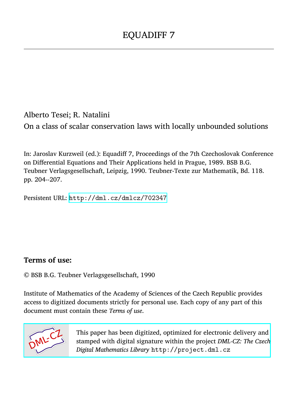Alberto Tesei; R. Natalini On a class of scalar conservation laws with locally unbounded solutions

In: Jaroslav Kurzweil (ed.): Equadiff 7, Proceedings of the 7th Czechoslovak Conference on Differential Equations and Their Applications held in Prague, 1989. BSB B.G. Teubner Verlagsgesellschaft, Leipzig, 1990. Teubner-Texte zur Mathematik, Bd. 118. pp. 204--207.

Persistent URL: <http://dml.cz/dmlcz/702347>

# **Terms of use:**

© BSB B.G. Teubner Verlagsgesellschaft, 1990

Institute of Mathematics of the Academy of Sciences of the Czech Republic provides access to digitized documents strictly for personal use. Each copy of any part of this document must contain these *Terms of use*.



[This paper has been digitized, optimized for electronic delivery and](http://project.dml.cz) stamped with digital signature within the project *DML-CZ: The Czech Digital Mathematics Library* http://project.dml.cz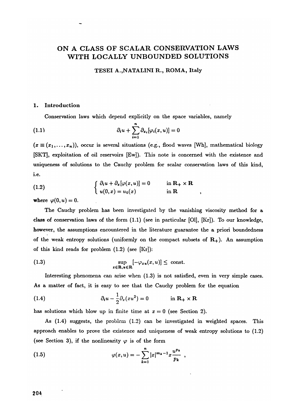# **ON A CLASS OF SCALAR CONSERVATION LAWS WITH LOCALLY UNBOUNDED SOLUTIONS**

#### **TESEI** A**. ,**N A**T**A**L I**N**I R., ROM** A **, Italy**

## 1. Introduction

**C**onse**r**vation laws which depend explicitly on the space va**r**iables, namely

(1.1) 
$$
\partial_t u + \sum_{i=1}^n \partial_{x_i} [\varphi_i(x, u)] = 0
$$

 $(x \equiv (x_1, \ldots, x_n))$ , occur is several situations (e.g., flood waves [Wh], mathematical biology [SKT], exploitation of oil **r**ese**r**voi**r**s [Ew]*)*. This note is conce**r**ned with the existence and uniqueness of solutions to the **C**auchy p**r**oblem fo**r** scala**r** conse**r**vation laws of this kind, **i**.e**.** 

(1.2) 
$$
\begin{cases} \partial_t u + \partial_x [\varphi(x, u)] = 0 & \text{in } \mathbf{R}_+ \times \mathbf{R} \\ u(0, x) = u_0(x) & \text{in } \mathbf{R} \end{cases}
$$

where  $\varphi(0, u) = 0$ .

T he **C**auchy p**r**oblem has been investigated by the vanishing viscosity method fo**r a class** of conservation laws of the fo**r**m (**1.1)** (see in pa**r**ticular [01], [Kr]). To ou**r** knowledge, howeve**r**, the assumptions encounte**r**ed in the lite**r**atu**r**e gua**r**antee the a p**r**iori boundedness of the weak ent**r**opy solutions (uniformly on the compact subsets of R+). An assumption of this kind **r**eads fo**r** p**r**oblem (1.2) (see [K**r**]):

(1.3) 
$$
\sup_{x \in \mathbf{R}, u \in \mathbf{R}} \left[ -\varphi_{xu}(x, u) \right] \leq \text{ const.}
$$

Inte**r**esting phenomena can a**r**ise when (1.3) is not satisfied, even in ve**r**y simple cases. As a matte**r** of fact, it is easy to see tha t the **C**auchy p**r**oblem fo**r** the equation

(1.4) 
$$
\partial_t u - \frac{1}{2} \partial_x (x u^2) = 0 \qquad \text{in } \mathbb{R}_+ \times \mathbb{R}
$$

has solutions which blow up in finite time at  $x = 0$  (see Section 2).

As (1.4) suggests, the p**r**oblem (1.2) can be investigated in weighted spaces. This approach enables to p**r**ove the existence and uniqueness of weak ent**r**opy solutions to (1.2) (see Section 3), if the nonlinearity  $\varphi$  is of the form

(1.5) 
$$
\varphi(x,u) = -\sum_{k=1}^{n} |x|^{m_k-1} x \frac{u^{p_k}}{p_k} ,
$$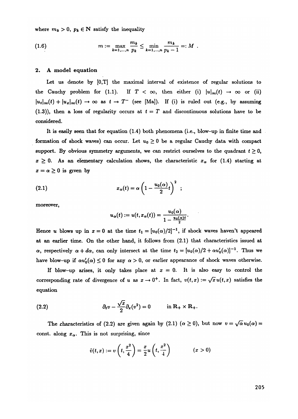where  $m_k > 0$ ,  $p_k \in \mathbb{N}$  satisfy the inequality

(1.6) 
$$
m := \max_{k=1,\dots,n} \frac{m_k}{p_k} \leq \min_{k=1,\dots,n} \frac{m_k}{p_k - 1} =: M.
$$

## 2. A model equation

Let us den**o**te by [0,T] the maximal interval **o**f existen**<sup>c</sup>**e **o**f regular s**<sup>o</sup>**luti**<sup>o</sup>**ns t**o**  the Cauchy problem for (1.1). If  $T < \infty$ , then either (i)  $|u|_{\infty}(t) \to \infty$  or (ii)  $|u_t|_{\infty}(t) + |u_x|_{\infty}(t) \to \infty$  as  $t \to T^-$  (see [Ma]). If (i) is ruled out (e.g., by assuming (1.3)), then a loss of regularity occurs at  $t = T$  and discontinuous solutions have to be **co**nsidered*.* 

It is easily seen tha t f**o**r equati**o**n (1*.*4) b**o**th phen**o**mena (i.e., bl**o**w-up in finite time and formation of shock waves) can occur. Let  $u_0 \geq 0$  be a regular Cauchy data with compact support. By obvious symmetry arguments, we can restrict ourselves to the quadrant  $t \geq 0$ ,  $x \geq 0$ . As an elementary calculation shows, the characteristic  $x_{\alpha}$  for (1.4) starting at  $x = \alpha \geq 0$  is given by

(2.1) 
$$
x_{\alpha}(t) = \alpha \left(1 - \frac{u_0(\alpha)}{2}t\right)^2 ;
$$

m**o**re**o**ver,

$$
u_{\alpha}(t):=u(t,x_{\alpha}(t))=\frac{u_0(\alpha)}{1-\frac{u_0(\alpha)t}{2}}.
$$

Hence *u* blows up in  $x = 0$  at the time  $t_1 = [u_0(\alpha)/2]^{-1}$ , if shock waves haven't appeared at an earlier time. On the**<sup>o</sup>**ther hand, it f**<sup>o</sup>**ll**o**ws fr**o**m (2*.*1) that **c**hara**c**teristi**<sup>c</sup>**s issued at  $\alpha$ , respectively  $\alpha + d\alpha$ , can only intersect at the time  $t_2 = [u_0(\alpha)/2 + \alpha u_0'(\alpha)]^{-1}$ . Thus we have blow-up if  $\alpha u_0'(\alpha) \leq 0$  for any  $\alpha > 0$ , or earlier appearance of shock waves otherwise.

If blow-up arises, it only takes place at  $x = 0$ . It is also easy to control the corresponding rate of divergence of u as  $x \to 0^+$ . In fact,  $v(t, x) := \sqrt{x} u(t, x)$  satisfies the equati**o**n

(2.2) 
$$
\partial_t v - \frac{\sqrt{x}}{2} \partial_x (v^2) = 0 \quad \text{in } \mathbb{R}_+ \times \mathbb{R}_+.
$$

The characteristics of (2.2) are given again by (2.1)  $(\alpha \ge 0)$ , but now  $v = \sqrt{\alpha} u_0(\alpha) =$ const. along  $x_{\alpha}$ . This is not surprising, since

$$
\tilde{v}(t,x) := v\left(t,\frac{x^2}{4}\right) = \frac{x}{2}u\left(t,\frac{x^2}{4}\right) \qquad (x>0)
$$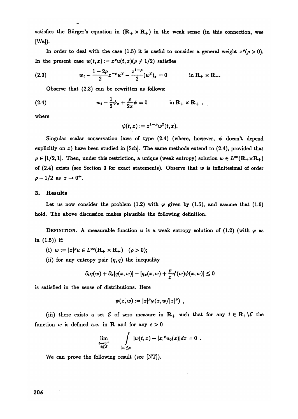**satisfies** the Bürger's equation in  $(R_+ \times R_+)$  in the weak sense (in this connection, wee **[**W**a]).** 

In order to deal with the case (1.5) it is useful to consider a general weight  $x^{\rho}(\rho > 0)$ . In the present case  $w(t, x) := x^{\rho}u(t, x)(\rho \neq 1/2)$  satisfies

(2.3) 
$$
w_t - \frac{1-2\rho}{2}x^{-\rho}w^2 - \frac{x^{1-\rho}}{2}(w^2)_x = 0 \qquad \text{in } \mathbb{R}_+ \times \mathbb{R}_+.
$$

O**bserve t**h**at (2.3) can be rewr**i**tten as f**o**ll**o**ws:** 

(2.4) 
$$
w_t - \frac{1}{2}\psi_x + \frac{\rho}{2x}\psi = 0 \qquad \text{in } \mathbb{R}_+ \times \mathbb{R}_+ ,
$$

**w**h**ere** 

$$
\psi(t,x):=x^{1-\rho}w^2(t,x).
$$

Singular scalar conservation laws of type  $(2.4)$  (where, however,  $\psi$  doesn't depend **ex**p**l**i**c**i**tl**y o**n** *x)* h**a**v**e been** studied i**n [Sc**h**], T**h**e same met**hod**s extend t**o **(2.**4**),** p**r**ovided **t**h**at**   $\rho \in [1/2, 1]$ . Then, under this restriction, a unique (weak entropy) solution  $w \in L^{\infty}(\mathbb{R}_+ \times \mathbb{R}_+)$ o**f (2.**4**) ex**i**sts (see Secti**o**n 3** fo**r exact statements). Obser**v**e t**h**at** *w* i**s** i**nfin**i**tesimal** o**f** o**r**de**r**   $\rho - 1/2$  as  $x \to 0^+$ .

#### **3. Results**

Let us now consider the problem (1.2) with  $\varphi$  given by (1.5), and assume that (1.6) hold. **T**h**e ab**ov**e** dis**c**ussion **makes** p**la**u**s**i**ble t**h**e f**o**ll**o**w**i**ng** d**efin**i**t**io**n***.* 

**DEFINITION.** A measurable function u is a weak entropy solution of  $(1.2)$  (with  $\varphi$  as **in (1.5))** i**f:** 

- (i)  $w := |x|^{\rho} u \in L^{\infty}(\mathbf{R}_+ \times \mathbf{R}_+) \quad (\rho > 0);$
- (ii) for any entropy pair  $(\eta, q)$  the inequality

$$
\partial_t \eta(w) + \partial_x [q(x,w)] - [q_x(x,w) + \frac{\rho}{x} \eta'(w) \psi(x,w)] \leq 0
$$

i**s sat**i**sfie**d i**n t**h**e sense** o**f** di**str**i**b**u**t**io**ns. Here** 

$$
\psi(x,w):=|x|^{\rho}\varphi(x,w/|x|^{\rho}),
$$

(iii) there exists a set  $\mathcal{E}$  of zero measure in  $R_+$  such that for any  $t \in R_+ \setminus \mathcal{E}$  the function *w* is defined a.e. in **R** and for any  $\varepsilon > 0$ 

$$
\lim_{\substack{t\to 0^+\\t\notin \mathcal{E}}} \qquad \int\limits_{|x|\leq \varepsilon} |w(t,x)-|x|^{\rho}u_0(x)|dx=0.
$$

W**e can** p**r**ove **t**h**e f**o**ll**o**w**i**ng res**u**lt (see [N**T**]).**